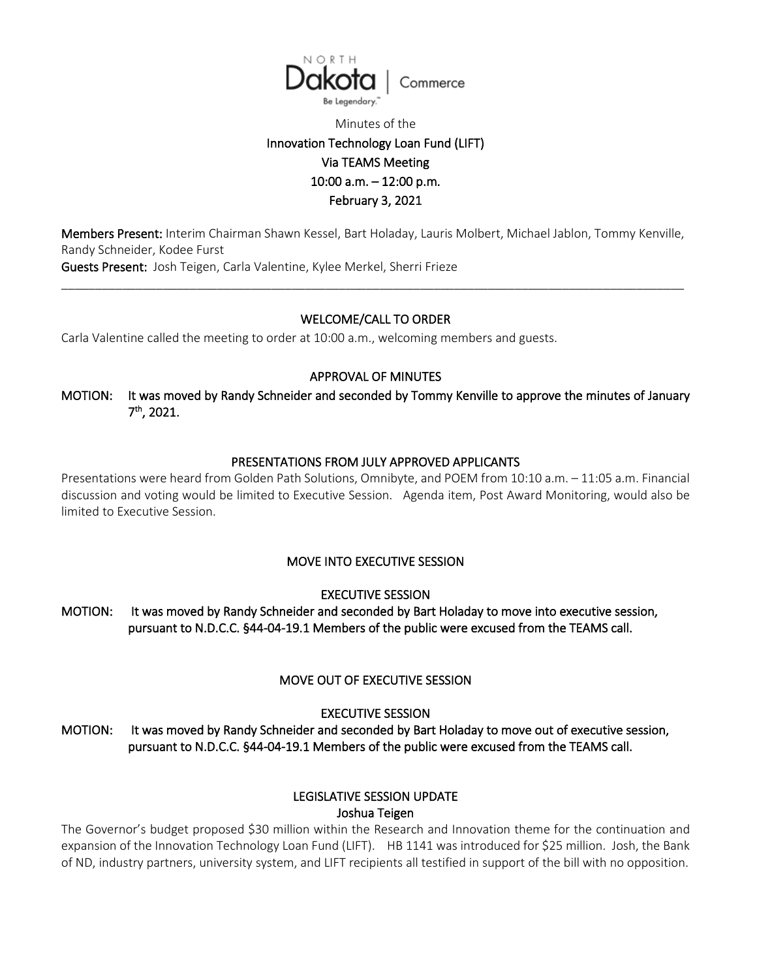

# Minutes of the Innovation Technology Loan Fund (LIFT) Via TEAMS Meeting 10:00 a.m. – 12:00 p.m. February 3, 2021

Members Present: Interim Chairman Shawn Kessel, Bart Holaday, Lauris Molbert, Michael Jablon, Tommy Kenville, Randy Schneider, Kodee Furst Guests Present: Josh Teigen, Carla Valentine, Kylee Merkel, Sherri Frieze

\_\_\_\_\_\_\_\_\_\_\_\_\_\_\_\_\_\_\_\_\_\_\_\_\_\_\_\_\_\_\_\_\_\_\_\_\_\_\_\_\_\_\_\_\_\_\_\_\_\_\_\_\_\_\_\_\_\_\_\_\_\_\_\_\_\_\_\_\_\_\_\_\_\_\_\_\_\_\_\_\_\_\_\_\_\_\_\_\_\_\_\_

### WELCOME/CALL TO ORDER

Carla Valentine called the meeting to order at 10:00 a.m., welcoming members and guests.

### APPROVAL OF MINUTES

MOTION: It was moved by Randy Schneider and seconded by Tommy Kenville to approve the minutes of January 7th, 2021.

### PRESENTATIONS FROM JULY APPROVED APPLICANTS

Presentations were heard from Golden Path Solutions, Omnibyte, and POEM from 10:10 a.m. – 11:05 a.m. Financial discussion and voting would be limited to Executive Session. Agenda item, Post Award Monitoring, would also be limited to Executive Session.

### MOVE INTO EXECUTIVE SESSION

EXECUTIVE SESSION

MOTION: It was moved by Randy Schneider and seconded by Bart Holaday to move into executive session, pursuant to N.D.C.C. §44-04-19.1 Members of the public were excused from the TEAMS call.

## MOVE OUT OF EXECUTIVE SESSION

EXECUTIVE SESSION

MOTION: It was moved by Randy Schneider and seconded by Bart Holaday to move out of executive session, pursuant to N.D.C.C. §44-04-19.1 Members of the public were excused from the TEAMS call.

# LEGISLATIVE SESSION UPDATE

Joshua Teigen

The Governor's budget proposed \$30 million within the Research and Innovation theme for the continuation and expansion of the Innovation Technology Loan Fund (LIFT). HB 1141 was introduced for \$25 million. Josh, the Bank of ND, industry partners, university system, and LIFT recipients all testified in support of the bill with no opposition.